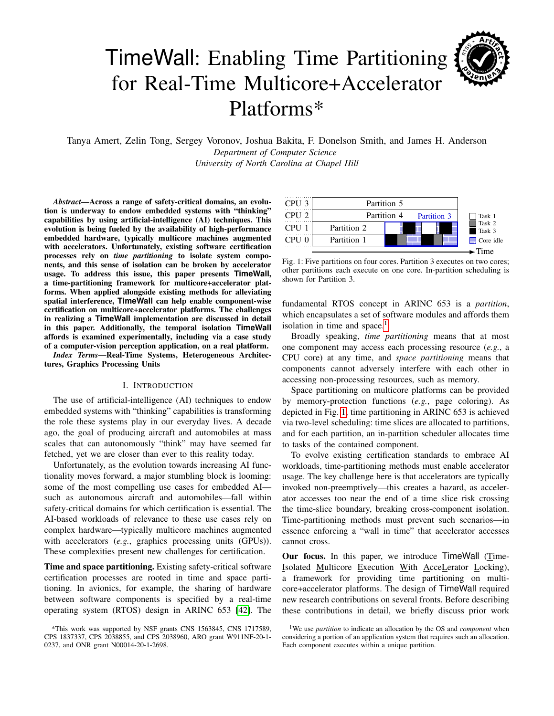# TimeWall: Enabling Time Partitioning for Real-Time Multicore+Accelerator Platforms\*



Tanya Amert, Zelin Tong, Sergey Voronov, Joshua Bakita, F. Donelson Smith, and James H. Anderson *Department of Computer Science University of North Carolina at Chapel Hill*

*Abstract*—Across a range of safety-critical domains, an evolution is underway to endow embedded systems with "thinking" capabilities by using artificial-intelligence (AI) techniques. This evolution is being fueled by the availability of high-performance embedded hardware, typically multicore machines augmented with accelerators. Unfortunately, existing software certification processes rely on *time partitioning* to isolate system components, and this sense of isolation can be broken by accelerator usage. To address this issue, this paper presents **TimeWall**, a time-partitioning framework for multicore+accelerator platforms. When applied alongside existing methods for alleviating spatial interference, **TimeWall** can help enable component-wise certification on multicore+accelerator platforms. The challenges in realizing a **TimeWall** implementation are discussed in detail in this paper. Additionally, the temporal isolation **TimeWall** affords is examined experimentally, including via a case study of a computer-vision perception application, on a real platform.

*Index Terms*—Real-Time Systems, Heterogeneous Architectures, Graphics Processing Units

## I. INTRODUCTION

The use of artificial-intelligence (AI) techniques to endow embedded systems with "thinking" capabilities is transforming the role these systems play in our everyday lives. A decade ago, the goal of producing aircraft and automobiles at mass scales that can autonomously "think" may have seemed far fetched, yet we are closer than ever to this reality today.

Unfortunately, as the evolution towards increasing AI functionality moves forward, a major stumbling block is looming: some of the most compelling use cases for embedded AI such as autonomous aircraft and automobiles—fall within safety-critical domains for which certification is essential. The AI-based workloads of relevance to these use cases rely on complex hardware—typically multicore machines augmented with accelerators (*e.g.*, graphics processing units (GPUs)). These complexities present new challenges for certification.

Time and space partitioning. Existing safety-critical software certification processes are rooted in time and space partitioning. In avionics, for example, the sharing of hardware between software components is specified by a real-time operating system (RTOS) design in ARINC 653 [\[42\]](#page-12-0). The

<span id="page-0-1"></span>

Fig. 1: Five partitions on four cores. Partition 3 executes on two cores; other partitions each execute on one core. In-partition scheduling is shown for Partition 3.

fundamental RTOS concept in ARINC 653 is a *partition*, which encapsulates a set of software modules and affords them isolation in time and space.<sup>[1](#page-0-0)</sup>

Broadly speaking, *time partitioning* means that at most one component may access each processing resource (*e.g.*, a CPU core) at any time, and *space partitioning* means that components cannot adversely interfere with each other in accessing non-processing resources, such as memory.

Space partitioning on multicore platforms can be provided by memory-protection functions (*e.g.*, page coloring). As depicted in Fig. [1,](#page-0-1) time partitioning in ARINC 653 is achieved via two-level scheduling: time slices are allocated to partitions, and for each partition, an in-partition scheduler allocates time to tasks of the contained component.

To evolve existing certification standards to embrace AI workloads, time-partitioning methods must enable accelerator usage. The key challenge here is that accelerators are typically invoked non-preemptively—this creates a hazard, as accelerator accesses too near the end of a time slice risk crossing the time-slice boundary, breaking cross-component isolation. Time-partitioning methods must prevent such scenarios—in essence enforcing a "wall in time" that accelerator accesses cannot cross.

Our focus. In this paper, we introduce TimeWall (Time-Isolated Multicore Execution With AcceLerator Locking), a framework for providing time partitioning on multicore+accelerator platforms. The design of TimeWall required new research contributions on several fronts. Before describing these contributions in detail, we briefly discuss prior work

<sup>\*</sup>This work was supported by NSF grants CNS 1563845, CNS 1717589, CPS 1837337, CPS 2038855, and CPS 2038960, ARO grant W911NF-20-1- 0237, and ONR grant N00014-20-1-2698.

<span id="page-0-0"></span><sup>1</sup>We use *partition* to indicate an allocation by the OS and *component* when considering a portion of an application system that requires such an allocation. Each component executes within a unique partition.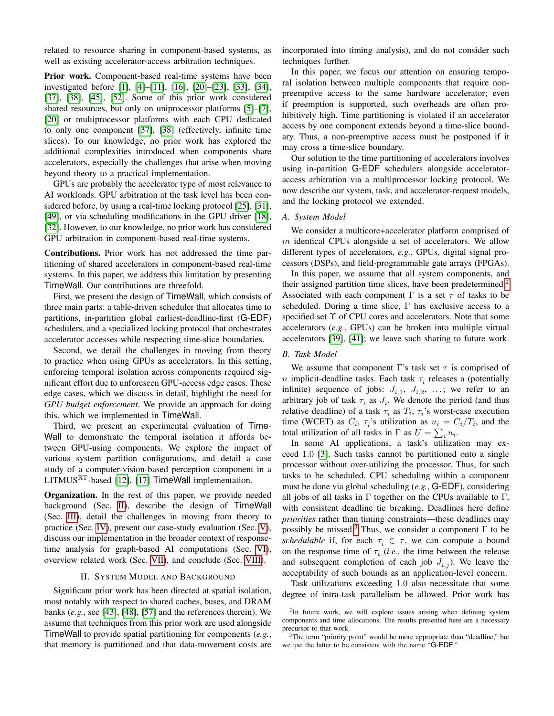related to resource sharing in component-based systems, as well as existing accelerator-access arbitration techniques.

Prior work. Component-based real-time systems have been investigated before [\[1\]](#page-11-0), [\[4\]](#page-11-1)–[\[11\]](#page-12-1), [\[16\]](#page-12-2), [\[20\]](#page-12-3)–[\[23\]](#page-12-4), [\[33\]](#page-12-5), [\[34\]](#page-12-6), [\[37\]](#page-12-7), [\[38\]](#page-12-8), [\[45\]](#page-12-9), [\[52\]](#page-13-0). Some of this prior work considered shared resources, but only on uniprocessor platforms [\[5\]](#page-12-10)–[\[7\]](#page-12-11), [\[20\]](#page-12-3) or multiprocessor platforms with each CPU dedicated to only one component [\[37\]](#page-12-7), [\[38\]](#page-12-8) (effectively, infinite time slices). To our knowledge, no prior work has explored the additional complexities introduced when components share accelerators, especially the challenges that arise when moving beyond theory to a practical implementation.

GPUs are probably the accelerator type of most relevance to AI workloads. GPU arbitration at the task level has been considered before, by using a real-time locking protocol [\[25\]](#page-12-12), [\[31\]](#page-12-13), [\[49\]](#page-13-1), or via scheduling modifications in the GPU driver [\[18\]](#page-12-14), [\[32\]](#page-12-15). However, to our knowledge, no prior work has considered GPU arbitration in component-based real-time systems.

Contributions. Prior work has not addressed the time partitioning of shared accelerators in component-based real-time systems. In this paper, we address this limitation by presenting TimeWall. Our contributions are threefold.

First, we present the design of TimeWall, which consists of three main parts: a table-driven scheduler that allocates time to partitions, in-partition global earliest-deadline-first (G-EDF) schedulers, and a specialized locking protocol that orchestrates accelerator accesses while respecting time-slice boundaries.

Second, we detail the challenges in moving from theory to practice when using GPUs as accelerators. In this setting, enforcing temporal isolation across components required significant effort due to unforeseen GPU-access edge cases. These edge cases, which we discuss in detail, highlight the need for *GPU budget enforcement*. We provide an approach for doing this, which we implemented in TimeWall.

Third, we present an experimental evaluation of Time-Wall to demonstrate the temporal isolation it affords between GPU-using components. We explore the impact of various system partition configurations, and detail a case study of a computer-vision-based perception component in a LITMUS<sup>RT</sup>-based [\[12\]](#page-12-16), [\[17\]](#page-12-17) TimeWall implementation.

Organization. In the rest of this paper, we provide needed background (Sec. [II\)](#page-1-0), describe the design of TimeWall (Sec. [III\)](#page-2-0), detail the challenges in moving from theory to practice (Sec. [IV\)](#page-4-0), present our case-study evaluation (Sec. [V\)](#page-7-0), discuss our implementation in the broader context of responsetime analysis for graph-based AI computations (Sec. [VI\)](#page-11-2), overview related work (Sec. [VII\)](#page-11-3), and conclude (Sec. [VIII\)](#page-11-4).

## II. SYSTEM MODEL AND BACKGROUND

<span id="page-1-0"></span>Significant prior work has been directed at spatial isolation, most notably with respect to shared caches, buses, and DRAM banks (*e.g.*, see [\[43\]](#page-12-18), [\[48\]](#page-13-2), [\[57\]](#page-13-3) and the references therein). We assume that techniques from this prior work are used alongside TimeWall to provide spatial partitioning for components (*e.g.*, that memory is partitioned and that data-movement costs are

incorporated into timing analysis), and do not consider such techniques further.

In this paper, we focus our attention on ensuring temporal isolation between multiple components that require nonpreemptive access to the same hardware accelerator; even if preemption is supported, such overheads are often prohibitively high. Time partitioning is violated if an accelerator access by one component extends beyond a time-slice boundary. Thus, a non-preemptive access must be postponed if it may cross a time-slice boundary.

Our solution to the time partitioning of accelerators involves using in-partition G-EDF schedulers alongside acceleratoraccess arbitration via a multiprocessor locking protocol. We now describe our system, task, and accelerator-request models, and the locking protocol we extended.

#### *A. System Model*

We consider a multicore+accelerator platform comprised of m identical CPUs alongside a set of accelerators. We allow different types of accelerators, *e.g.*, GPUs, digital signal processors (DSPs), and field-programmable gate arrays (FPGAs).

In this paper, we assume that all system components, and their assigned partition time slices, have been predetermined.<sup>[2](#page-1-1)</sup> Associated with each component  $\Gamma$  is a set  $\tau$  of tasks to be scheduled. During a time slice,  $\Gamma$  has exclusive access to a specified set Υ of CPU cores and accelerators. Note that some accelerators (*e.g.*, GPUs) can be broken into multiple virtual accelerators [\[39\]](#page-12-19), [\[41\]](#page-12-20); we leave such sharing to future work.

#### <span id="page-1-3"></span>*B. Task Model*

We assume that component Γ's task set  $\tau$  is comprised of *n* implicit-deadline tasks. Each task  $\tau_i$  releases a (potentially infinite) sequence of jobs:  $J_{i,1}$ ,  $J_{i,2}$ , ...; we refer to an arbitrary job of task  $\tau_i$  as  $J_i$ . We denote the period (and thus relative deadline) of a task  $\tau_i$  as  $T_i$ ,  $\tau_i$ 's worst-case execution time (WCET) as  $C_i$ ,  $\tau_i$ 's utilization as  $u_i = C_i/T_i$ , and the total utilization of all tasks in  $\Gamma$  as  $U = \sum_i u_i$ .

In some AI applications, a task's utilization may exceed 1.0 [\[3\]](#page-11-5). Such tasks cannot be partitioned onto a single processor without over-utilizing the processor. Thus, for such tasks to be scheduled, CPU scheduling within a component must be done via global scheduling (*e.g.*, G-EDF), considering all jobs of all tasks in  $\Gamma$  together on the CPUs available to  $\Gamma$ , with consistent deadline tie breaking. Deadlines here define *priorities* rather than timing constraints—these deadlines may possibly be missed.<sup>[3](#page-1-2)</sup> Thus, we consider a component  $\Gamma$  to be *schedulable* if, for each  $\tau_i \in \tau$ , we can compute a bound on the response time of  $\tau_i$  (*i.e.*, the time between the release and subsequent completion of each job  $J_{i,j}$ ). We leave the acceptability of such bounds as an application-level concern.

Task utilizations exceeding 1.0 also necessitate that some degree of intra-task parallelism be allowed. Prior work has

<span id="page-1-1"></span><sup>&</sup>lt;sup>2</sup>In future work, we will explore issues arising when defining system components and time allocations. The results presented here are a necessary precursor to that work.

<span id="page-1-2"></span><sup>&</sup>lt;sup>3</sup>The term "priority point" would be more appropriate than "deadline," but we use the latter to be consistent with the name "G-EDF."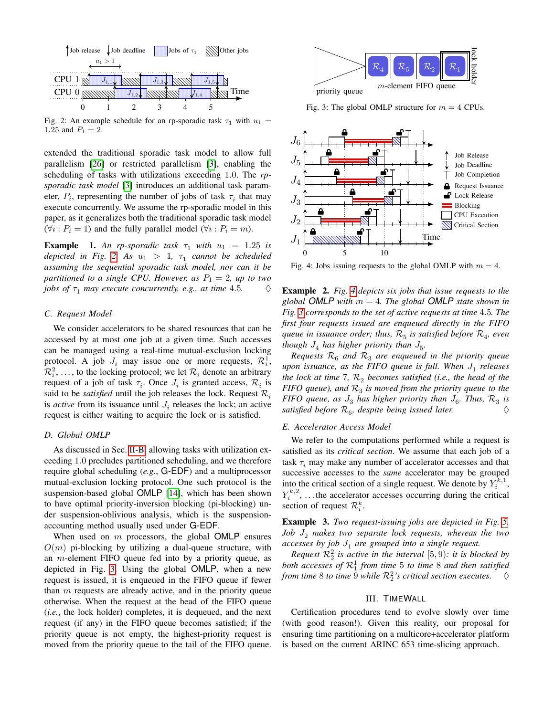<span id="page-2-1"></span>

Fig. 2: An example schedule for an rp-sporadic task  $\tau_1$  with  $u_1 =$ 1.25 and  $P_1 = 2$ .

extended the traditional sporadic task model to allow full parallelism [\[26\]](#page-12-21) or restricted parallelism [\[3\]](#page-11-5), enabling the scheduling of tasks with utilizations exceeding 1.0. The *rpsporadic task model* [\[3\]](#page-11-5) introduces an additional task parameter,  $P_i$ , representing the number of jobs of task  $\tau_i$  that may execute concurrently. We assume the rp-sporadic model in this paper, as it generalizes both the traditional sporadic task model  $(\forall i : P_i = 1)$  and the fully parallel model  $(\forall i : P_i = m)$ .

**Example** 1. An rp-sporadic task  $\tau_1$  with  $u_1 = 1.25$  is  $depicted$  in Fig. [2.](#page-2-1) As  $u_1 > 1$ ,  $\tau_1$  cannot be scheduled *assuming the sequential sporadic task model, nor can it be partitioned to a single CPU. However, as*  $P_1 = 2$ *, up to two jobs of*  $\tau_1$  *may execute concurrently, e.g., at time* 4.5.  $\diamond$ 

## *C. Request Model*

We consider accelerators to be shared resources that can be accessed by at most one job at a given time. Such accesses can be managed using a real-time mutual-exclusion locking protocol. A job  $J_i$  may issue one or more requests,  $\mathcal{R}_i^1$ ,  $\mathcal{R}_i^2$ , ..., to the locking protocol; we let  $\mathcal{R}_i$  denote an arbitrary request of a job of task  $\tau_i$ . Once  $J_i$  is granted access,  $\mathcal{R}_i$  is said to be *satisfied* until the job releases the lock. Request  $\mathcal{R}_i$ is *active* from its issuance until  $J_i$  releases the lock; an active request is either waiting to acquire the lock or is satisfied.

## <span id="page-2-4"></span>*D. Global OMLP*

As discussed in Sec. [II-B,](#page-1-3) allowing tasks with utilization exceeding 1.0 precludes partitioned scheduling, and we therefore require global scheduling (*e.g.*, G-EDF) and a multiprocessor mutual-exclusion locking protocol. One such protocol is the suspension-based global OMLP [\[14\]](#page-12-22), which has been shown to have optimal priority-inversion blocking (pi-blocking) under suspension-oblivious analysis, which is the suspensionaccounting method usually used under G-EDF.

When used on  $m$  processors, the global OMLP ensures  $O(m)$  pi-blocking by utilizing a dual-queue structure, with an m-element FIFO queue fed into by a priority queue, as depicted in Fig. [3.](#page-2-2) Using the global OMLP, when a new request is issued, it is enqueued in the FIFO queue if fewer than  $m$  requests are already active, and in the priority queue otherwise. When the request at the head of the FIFO queue (*i.e.*, the lock holder) completes, it is dequeued, and the next request (if any) in the FIFO queue becomes satisfied; if the priority queue is not empty, the highest-priority request is moved from the priority queue to the tail of the FIFO queue.

<span id="page-2-2"></span>

Fig. 3: The global OMLP structure for  $m = 4$  CPUs.

<span id="page-2-3"></span>

Fig. 4: Jobs issuing requests to the global OMLP with  $m = 4$ .

Example 2. *Fig. [4](#page-2-3) depicts six jobs that issue requests to the global OMLP with* m = 4*. The global OMLP state shown in Fig. [3](#page-2-2) corresponds to the set of active requests at time* 4.5*. The first four requests issued are enqueued directly in the FIFO queue in issuance order; thus,* R<sup>5</sup> *is satisfied before* R<sup>4</sup> *, even though*  $J_4$  *has higher priority than*  $J_5$ *.* 

*Requests*  $\mathcal{R}_6$  *and*  $\mathcal{R}_3$  *are enqueued in the priority queue*  $u$ pon issuance, as the FIFO queue is full. When  $J_1$  releases *the lock at time* 7,  $\mathcal{R}_2$  *becomes satisfied (i.e., the head of the FIFO queue), and*  $\mathcal{R}_3$  *is moved from the priority queue to the FIFO queue, as*  $J_3$  *has higher priority than*  $J_6$ *. Thus,*  $\mathcal{R}_3$  *is* satisfied before  $\mathcal{R}_6$ , despite being issued later.  $\Diamond$ 

## *E. Accelerator Access Model*

We refer to the computations performed while a request is satisfied as its *critical section*. We assume that each job of a task  $\tau_i$  may make any number of accelerator accesses and that successive accesses to the *same* accelerator may be grouped into the critical section of a single request. We denote by  $Y_i^{\lambda,1}$ ,  $Y_i^{k,2}$ , ... the accelerator accesses occurring during the critical section of request  $\mathcal{R}_i^k$ .

Example 3. *Two request-issuing jobs are depicted in Fig. [5.](#page-3-0) Job*  $J_2$  *makes two separate lock requests, whereas the two accesses by job*  $J_1$  *are grouped into a single request.* 

*Request*  $\mathcal{R}_2^2$  *is active in the interval*  $[5, 9)$ *: it is blocked by* both accesses of  $\mathcal{R}^1_1$  from time 5 to time 8 and then satisfied *from time* 8 *to time* 9 *while*  $\mathcal{R}_2^2$ 's *critical section executes.*  $\Diamond$ 

## III. TIMEWALL

<span id="page-2-0"></span>Certification procedures tend to evolve slowly over time (with good reason!). Given this reality, our proposal for ensuring time partitioning on a multicore+accelerator platform is based on the current ARINC 653 time-slicing approach.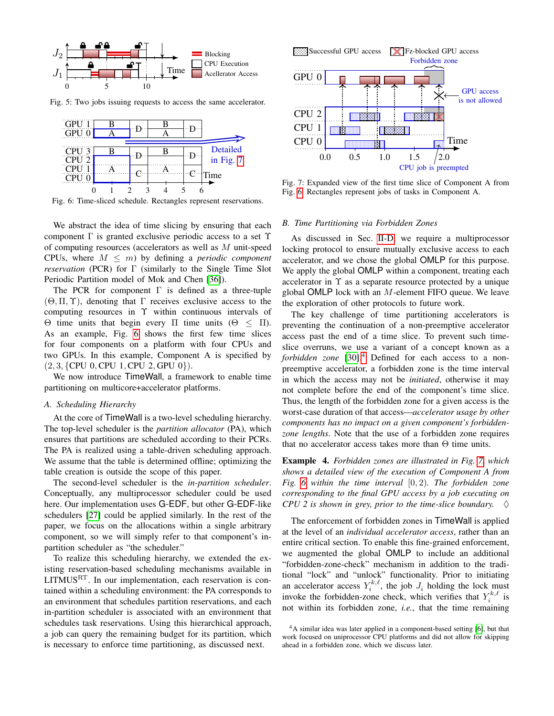<span id="page-3-0"></span>

<span id="page-3-2"></span>Fig. 5: Two jobs issuing requests to access the same accelerator.



Fig. 6: Time-sliced schedule. Rectangles represent reservations.

We abstract the idea of time slicing by ensuring that each component  $\Gamma$  is granted exclusive periodic access to a set  $\Upsilon$ of computing resources (accelerators as well as M unit-speed CPUs, where  $M \leq m$ ) by defining a *periodic component reservation* (PCR) for Γ (similarly to the Single Time Slot Periodic Partition model of Mok and Chen [\[36\]](#page-12-23)).

The PCR for component  $\Gamma$  is defined as a three-tuple  $(\Theta, \Pi, \Upsilon)$ , denoting that  $\Gamma$  receives exclusive access to the computing resources in Υ within continuous intervals of Θ time units that begin every Π time units (Θ ≤ Π). As an example, Fig. [6](#page-3-2) shows the first few time slices for four components on a platform with four CPUs and two GPUs. In this example, Component A is specified by  $(2, 3, \{CPU\ 0, CPU\ 1, CPU\ 2, GPU\ 0\}).$ 

We now introduce TimeWall, a framework to enable time partitioning on multicore+accelerator platforms.

#### *A. Scheduling Hierarchy*

At the core of TimeWall is a two-level scheduling hierarchy. The top-level scheduler is the *partition allocator* (PA), which ensures that partitions are scheduled according to their PCRs. The PA is realized using a table-driven scheduling approach. We assume that the table is determined offline; optimizing the table creation is outside the scope of this paper.

The second-level scheduler is the *in-partition scheduler*. Conceptually, any multiprocessor scheduler could be used here. Our implementation uses G-EDF, but other G-EDF-like schedulers [\[27\]](#page-12-24) could be applied similarly. In the rest of the paper, we focus on the allocations within a single arbitrary component, so we will simply refer to that component's inpartition scheduler as "the scheduler."

To realize this scheduling hierarchy, we extended the existing reservation-based scheduling mechanisms available in  $LITMUS<sup>RT</sup>$ . In our implementation, each reservation is contained within a scheduling environment: the PA corresponds to an environment that schedules partition reservations, and each in-partition scheduler is associated with an environment that schedules task reservations. Using this hierarchical approach, a job can query the remaining budget for its partition, which is necessary to enforce time partitioning, as discussed next.

<span id="page-3-1"></span>

Fig. 7: Expanded view of the first time slice of Component A from Fig. [6.](#page-3-2) Rectangles represent jobs of tasks in Component A.

#### *B. Time Partitioning via Forbidden Zones*

As discussed in Sec. [II-D,](#page-2-4) we require a multiprocessor locking protocol to ensure mutually exclusive access to each accelerator, and we chose the global OMLP for this purpose. We apply the global **OMLP** within a component, treating each accelerator in  $\Upsilon$  as a separate resource protected by a unique global OMLP lock with an  $M$ -element FIFO queue. We leave the exploration of other protocols to future work.

The key challenge of time partitioning accelerators is preventing the continuation of a non-preemptive accelerator access past the end of a time slice. To prevent such timeslice overruns, we use a variant of a concept known as a *forbidden zone* [\[30\]](#page-12-25).[4](#page-3-3) Defined for each access to a nonpreemptive accelerator, a forbidden zone is the time interval in which the access may not be *initiated*, otherwise it may not complete before the end of the component's time slice. Thus, the length of the forbidden zone for a given access is the worst-case duration of that access—*accelerator usage by other components has no impact on a given component's forbiddenzone lengths*. Note that the use of a forbidden zone requires that no accelerator access takes more than  $Θ$  time units.

Example 4. *Forbidden zones are illustrated in Fig. [7,](#page-3-1) which shows a detailed view of the execution of Component A from Fig. [6](#page-3-2) within the time interval* [0, 2)*. The forbidden zone corresponding to the final GPU access by a job executing on CPU 2 is shown in grey, prior to the time-slice boundary.* 

The enforcement of forbidden zones in TimeWall is applied at the level of an *individual accelerator access*, rather than an entire critical section. To enable this fine-grained enforcement, we augmented the global OMLP to include an additional "forbidden-zone-check" mechanism in addition to the traditional "lock" and "unlock" functionality. Prior to initiating an accelerator access  $Y_i^{k,\ell}$ , the job  $J_i$  holding the lock must invoke the forbidden-zone check, which verifies that  $Y_i^{k,\ell}$  is not within its forbidden zone, *i.e.*, that the time remaining

<span id="page-3-3"></span><sup>&</sup>lt;sup>4</sup>A similar idea was later applied in a component-based setting [\[6\]](#page-12-26), but that work focused on uniprocessor CPU platforms and did not allow for skipping ahead in a forbidden zone, which we discuss later.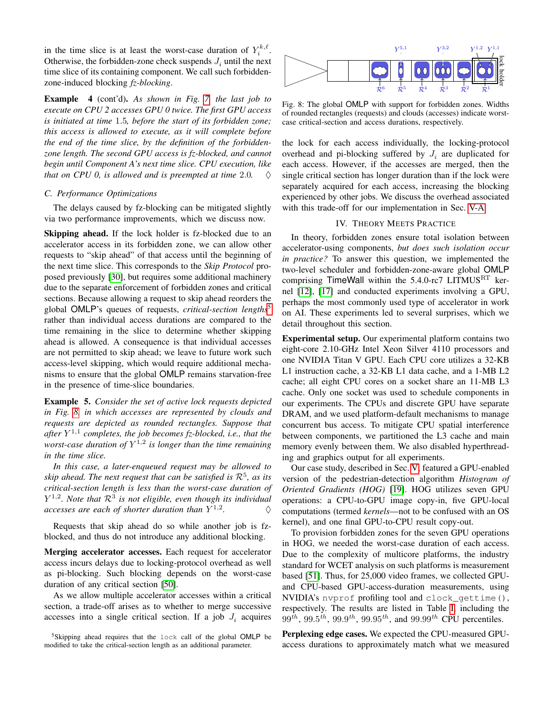in the time slice is at least the worst-case duration of  $Y_i^{k,\ell}$ . Otherwise, the forbidden-zone check suspends  $J_i$  until the next time slice of its containing component. We call such forbiddenzone-induced blocking *fz-blocking*.

Example 4 (cont'd). *As shown in Fig. [7,](#page-3-1) the last job to execute on CPU 2 accesses GPU 0 twice. The first GPU access is initiated at time* 1.5*, before the start of its forbidden zone; this access is allowed to execute, as it will complete before the end of the time slice, by the definition of the forbiddenzone length. The second GPU access is fz-blocked, and cannot begin until Component A's next time slice. CPU execution, like that on CPU 0, is allowed and is preempted at time 2.0.*  $\Diamond$ 

## *C. Performance Optimizations*

The delays caused by fz-blocking can be mitigated slightly via two performance improvements, which we discuss now.

Skipping ahead. If the lock holder is fz-blocked due to an accelerator access in its forbidden zone, we can allow other requests to "skip ahead" of that access until the beginning of the next time slice. This corresponds to the *Skip Protocol* proposed previously [\[30\]](#page-12-25), but requires some additional machinery due to the separate enforcement of forbidden zones and critical sections. Because allowing a request to skip ahead reorders the global OMLP's queues of requests, *critical-section lengths*[5](#page-4-1) rather than individual access durations are compared to the time remaining in the slice to determine whether skipping ahead is allowed. A consequence is that individual accesses are not permitted to skip ahead; we leave to future work such access-level skipping, which would require additional mechanisms to ensure that the global OMLP remains starvation-free in the presence of time-slice boundaries.

Example 5. *Consider the set of active lock requests depicted in Fig. [8,](#page-4-2) in which accesses are represented by clouds and requests are depicted as rounded rectangles. Suppose that after* Y 1,1 *completes, the job becomes fz-blocked, i.e., that the worst-case duration of* Y 1,2 *is longer than the time remaining in the time slice.*

*In this case, a later-enqueued request may be allowed to* skip ahead. The next request that can be satisfied is  $\mathcal{R}^{5}$ , as its *critical-section length is less than the worst-case duration of*  $Y^{1,2}$ *. Note that*  $\mathcal{R}^3$  *is not eligible, even though its individual* accesses are each of shorter duration than  $Y^{1,2}$ *.* ♦

Requests that skip ahead do so while another job is fzblocked, and thus do not introduce any additional blocking.

Merging accelerator accesses. Each request for accelerator access incurs delays due to locking-protocol overhead as well as pi-blocking. Such blocking depends on the worst-case duration of any critical section [\[50\]](#page-13-4).

As we allow multiple accelerator accesses within a critical section, a trade-off arises as to whether to merge successive accesses into a single critical section. If a job  $J_i$  acquires

<span id="page-4-1"></span><sup>5</sup>Skipping ahead requires that the lock call of the global OMLP be modified to take the critical-section length as an additional parameter.

<span id="page-4-2"></span>

Fig. 8: The global OMLP with support for forbidden zones. Widths of rounded rectangles (requests) and clouds (accesses) indicate worstcase critical-section and access durations, respectively.

the lock for each access individually, the locking-protocol overhead and pi-blocking suffered by  $J_i$  are duplicated for each access. However, if the accesses are merged, then the single critical section has longer duration than if the lock were separately acquired for each access, increasing the blocking experienced by other jobs. We discuss the overhead associated with this trade-off for our implementation in Sec. [V-A.](#page-7-1)

## IV. THEORY MEETS PRACTICE

<span id="page-4-0"></span>In theory, forbidden zones ensure total isolation between accelerator-using components, *but does such isolation occur in practice?* To answer this question, we implemented the two-level scheduler and forbidden-zone-aware global OMLP comprising TimeWall within the  $5.4.0$ -rc7 LITMUS<sup>RT</sup> kernel [\[12\]](#page-12-16), [\[17\]](#page-12-17) and conducted experiments involving a GPU, perhaps the most commonly used type of accelerator in work on AI. These experiments led to several surprises, which we detail throughout this section.

Experimental setup. Our experimental platform contains two eight-core 2.10-GHz Intel Xeon Silver 4110 processors and one NVIDIA Titan V GPU. Each CPU core utilizes a 32-KB L1 instruction cache, a 32-KB L1 data cache, and a 1-MB L2 cache; all eight CPU cores on a socket share an 11-MB L3 cache. Only one socket was used to schedule components in our experiments. The CPUs and discrete GPU have separate DRAM, and we used platform-default mechanisms to manage concurrent bus access. To mitigate CPU spatial interference between components, we partitioned the L3 cache and main memory evenly between them. We also disabled hyperthreading and graphics output for all experiments.

Our case study, described in Sec. [V,](#page-7-0) featured a GPU-enabled version of the pedestrian-detection algorithm *Histogram of Oriented Gradients (HOG)* [\[19\]](#page-12-27). HOG utilizes seven GPU operations: a CPU-to-GPU image copy-in, five GPU-local computations (termed *kernels*—not to be confused with an OS kernel), and one final GPU-to-CPU result copy-out.

To provision forbidden zones for the seven GPU operations in HOG, we needed the worst-case duration of each access. Due to the complexity of multicore platforms, the industry standard for WCET analysis on such platforms is measurement based [\[51\]](#page-13-5). Thus, for 25,000 video frames, we collected GPUand CPU-based GPU-access-duration measurements, using NVIDIA's nvprof profiling tool and clock\_gettime(), respectively. The results are listed in Table [I,](#page-5-0) including the  $99^{th}$ ,  $99.5^{th}$ ,  $99.9^{th}$ ,  $99.95^{th}$ , and  $99.99^{th}$  CPU percentiles.

Perplexing edge cases. We expected the CPU-measured GPUaccess durations to approximately match what we measured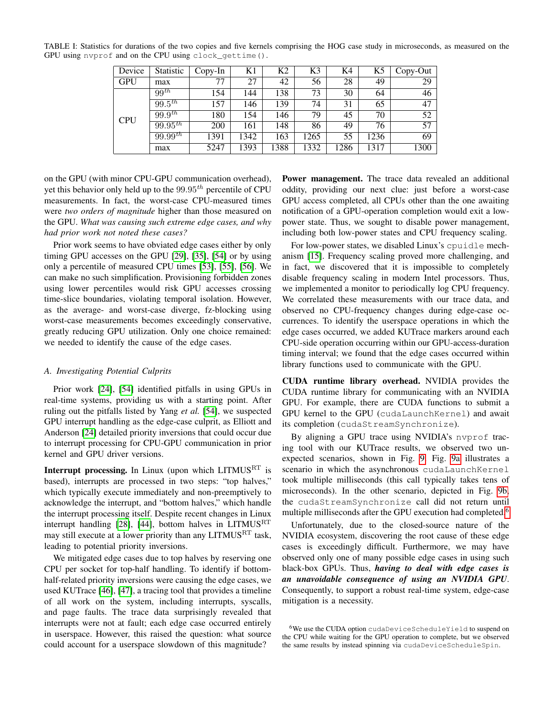<span id="page-5-0"></span>TABLE I: Statistics for durations of the two copies and five kernels comprising the HOG case study in microseconds, as measured on the GPU using nvprof and on the CPU using clock\_gettime().

| Device     | Statistic             | Copy-In | K1   | K <sub>2</sub> | K <sub>3</sub> | K4   | K <sub>5</sub> | Copy-Out        |
|------------|-----------------------|---------|------|----------------|----------------|------|----------------|-----------------|
| <b>GPU</b> | max                   | 77      | 27   | 42             | 56             | 28   | 49             | 29              |
| <b>CPU</b> | $99^{th}$             | 154     | 144  | 138            | 73             | 30   | 64             | 46              |
|            | $99.5^{th}$           | 157     | 146  | 139            | 74             | 31   | 65             | $\overline{4}7$ |
|            | $99.9$ <sup>th</sup>  | 180     | 154  | 146            | 79             | 45   | 70             | $\overline{52}$ |
|            | $99.95$ <sup>th</sup> | 200     | 161  | 148            | 86             | 49   | 76             | $\overline{57}$ |
|            | $99.99^{th}$          | 1391    | 1342 | 163            | 1265           | 55   | 1236           | 69              |
|            | max                   | 5247    | 1393 | 1388           | 1332           | 1286 | 1317           | 1300            |

on the GPU (with minor CPU-GPU communication overhead), yet this behavior only held up to the  $99.95<sup>th</sup>$  percentile of CPU measurements. In fact, the worst-case CPU-measured times were *two orders of magnitude* higher than those measured on the GPU. *What was causing such extreme edge cases, and why had prior work not noted these cases?*

Prior work seems to have obviated edge cases either by only timing GPU accesses on the GPU [\[29\]](#page-12-28), [\[35\]](#page-12-29), [\[54\]](#page-13-6) or by using only a percentile of measured CPU times [\[53\]](#page-13-7), [\[55\]](#page-13-8), [\[56\]](#page-13-9). We can make no such simplification. Provisioning forbidden zones using lower percentiles would risk GPU accesses crossing time-slice boundaries, violating temporal isolation. However, as the average- and worst-case diverge, fz-blocking using worst-case measurements becomes exceedingly conservative, greatly reducing GPU utilization. Only one choice remained: we needed to identify the cause of the edge cases.

## *A. Investigating Potential Culprits*

Prior work [\[24\]](#page-12-30), [\[54\]](#page-13-6) identified pitfalls in using GPUs in real-time systems, providing us with a starting point. After ruling out the pitfalls listed by Yang *et al.* [\[54\]](#page-13-6), we suspected GPU interrupt handling as the edge-case culprit, as Elliott and Anderson [\[24\]](#page-12-30) detailed priority inversions that could occur due to interrupt processing for CPU-GPU communication in prior kernel and GPU driver versions.

**Interrupt processing.** In Linux (upon which  $LITMUS<sup>RT</sup>$  is based), interrupts are processed in two steps: "top halves," which typically execute immediately and non-preemptively to acknowledge the interrupt, and "bottom halves," which handle the interrupt processing itself. Despite recent changes in Linux interrupt handling [\[28\]](#page-12-31), [\[44\]](#page-12-32), bottom halves in  $LITMUS<sup>RT</sup>$ may still execute at a lower priority than any LITMUS<sup>RT</sup> task, leading to potential priority inversions.

We mitigated edge cases due to top halves by reserving one CPU per socket for top-half handling. To identify if bottomhalf-related priority inversions were causing the edge cases, we used KUTrace [\[46\]](#page-12-33), [\[47\]](#page-13-10), a tracing tool that provides a timeline of all work on the system, including interrupts, syscalls, and page faults. The trace data surprisingly revealed that interrupts were not at fault; each edge case occurred entirely in userspace. However, this raised the question: what source could account for a userspace slowdown of this magnitude?

Power management. The trace data revealed an additional oddity, providing our next clue: just before a worst-case GPU access completed, all CPUs other than the one awaiting notification of a GPU-operation completion would exit a lowpower state. Thus, we sought to disable power management, including both low-power states and CPU frequency scaling.

For low-power states, we disabled Linux's cpuidle mechanism [\[15\]](#page-12-34). Frequency scaling proved more challenging, and in fact, we discovered that it is impossible to completely disable frequency scaling in modern Intel processors. Thus, we implemented a monitor to periodically log CPU frequency. We correlated these measurements with our trace data, and observed no CPU-frequency changes during edge-case occurrences. To identify the userspace operations in which the edge cases occurred, we added KUTrace markers around each CPU-side operation occurring within our GPU-access-duration timing interval; we found that the edge cases occurred within library functions used to communicate with the GPU.

CUDA runtime library overhead. NVIDIA provides the CUDA runtime library for communicating with an NVIDIA GPU. For example, there are CUDA functions to submit a GPU kernel to the GPU (cudaLaunchKernel) and await its completion (cudaStreamSynchronize).

By aligning a GPU trace using NVIDIA's nvprof tracing tool with our KUTrace results, we observed two unexpected scenarios, shown in Fig. [9.](#page-6-0) Fig. [9a](#page-6-0) illustrates a scenario in which the asynchronous cudaLaunchKernel took multiple milliseconds (this call typically takes tens of microseconds). In the other scenario, depicted in Fig. [9b,](#page-6-0) the cudaStreamSynchronize call did not return until multiple milliseconds after the GPU execution had completed.<sup>[6](#page-5-1)</sup>

Unfortunately, due to the closed-source nature of the NVIDIA ecosystem, discovering the root cause of these edge cases is exceedingly difficult. Furthermore, we may have observed only one of many possible edge cases in using such black-box GPUs. Thus, *having to deal with edge cases is an unavoidable consequence of using an NVIDIA GPU*. Consequently, to support a robust real-time system, edge-case mitigation is a necessity.

<span id="page-5-1"></span><sup>&</sup>lt;sup>6</sup>We use the CUDA option cudaDeviceScheduleYield to suspend on the CPU while waiting for the GPU operation to complete, but we observed the same results by instead spinning via cudaDeviceScheduleSpin.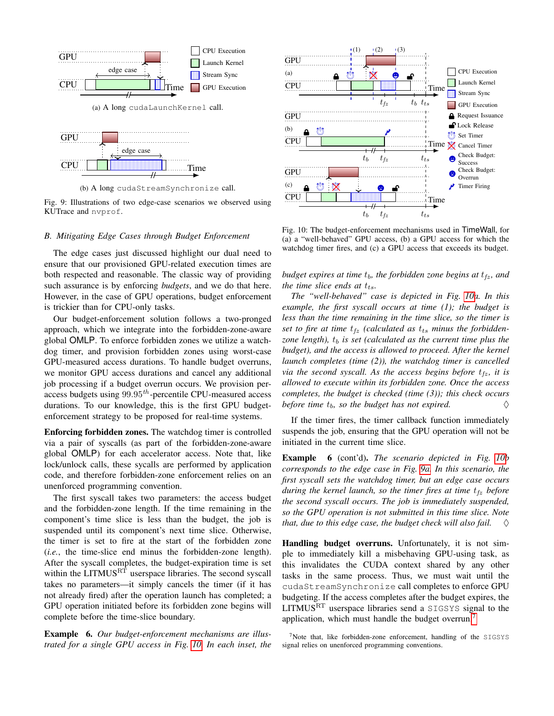<span id="page-6-0"></span>

(b) A long cudaStreamSynchronize call.

Fig. 9: Illustrations of two edge-case scenarios we observed using KUTrace and nvprof.

#### *B. Mitigating Edge Cases through Budget Enforcement*

The edge cases just discussed highlight our dual need to ensure that our provisioned GPU-related execution times are both respected and reasonable. The classic way of providing such assurance is by enforcing *budgets*, and we do that here. However, in the case of GPU operations, budget enforcement is trickier than for CPU-only tasks.

Our budget-enforcement solution follows a two-pronged approach, which we integrate into the forbidden-zone-aware global OMLP. To enforce forbidden zones we utilize a watchdog timer, and provision forbidden zones using worst-case GPU-measured access durations. To handle budget overruns, we monitor GPU access durations and cancel any additional job processing if a budget overrun occurs. We provision peraccess budgets using  $99.95<sup>th</sup>$ -percentile CPU-measured access durations. To our knowledge, this is the first GPU budgetenforcement strategy to be proposed for real-time systems.

Enforcing forbidden zones. The watchdog timer is controlled via a pair of syscalls (as part of the forbidden-zone-aware global OMLP) for each accelerator access. Note that, like lock/unlock calls, these sycalls are performed by application code, and therefore forbidden-zone enforcement relies on an unenforced programming convention.

The first syscall takes two parameters: the access budget and the forbidden-zone length. If the time remaining in the component's time slice is less than the budget, the job is suspended until its component's next time slice. Otherwise, the timer is set to fire at the start of the forbidden zone (*i.e.*, the time-slice end minus the forbidden-zone length). After the syscall completes, the budget-expiration time is set within the  $LITMUS<sup>RT</sup>$  userspace libraries. The second syscall takes no parameters—it simply cancels the timer (if it has not already fired) after the operation launch has completed; a GPU operation initiated before its forbidden zone begins will complete before the time-slice boundary.

Example 6. *Our budget-enforcement mechanisms are illustrated for a single GPU access in Fig. [10.](#page-6-1) In each inset, the*

<span id="page-6-1"></span>

Fig. 10: The budget-enforcement mechanisms used in TimeWall, for (a) a "well-behaved" GPU access, (b) a GPU access for which the watchdog timer fires, and (c) a GPU access that exceeds its budget.

*budget expires at time*  $t<sub>b</sub>$ *, the forbidden zone begins at*  $t<sub>fs</sub>$ *, and the time slice ends at*  $t_{ts}$ *.* 

*The "well-behaved" case is depicted in Fig. [10a](#page-6-1). In this example, the first syscall occurs at time (1); the budget is less than the time remaining in the time slice, so the timer is* set to fire at time  $t_{fz}$  (calculated as  $t_{ts}$  minus the forbidden*zone length),*  $t_b$  *is set (calculated as the current time plus the budget), and the access is allowed to proceed. After the kernel launch completes (time (2)), the watchdog timer is cancelled via the second syscall. As the access begins before*  $t_{fz}$ *, it is allowed to execute within its forbidden zone. Once the access completes, the budget is checked (time (3)); this check occurs before time*  $t_b$ *, so the budget has not expired.*  $\diamondsuit$ 

If the timer fires, the timer callback function immediately suspends the job, ensuring that the GPU operation will not be initiated in the current time slice.

Example 6 (cont'd). *The scenario depicted in Fig. [10b](#page-6-1) corresponds to the edge case in Fig. [9a.](#page-6-0) In this scenario, the first syscall sets the watchdog timer, but an edge case occurs during the kernel launch, so the timer fires at time*  $t_{fz}$  *before the second syscall occurs. The job is immediately suspended, so the GPU operation is not submitted in this time slice. Note that, due to this edge case, the budget check will also fail.* 

Handling budget overruns. Unfortunately, it is not simple to immediately kill a misbehaving GPU-using task, as this invalidates the CUDA context shared by any other tasks in the same process. Thus, we must wait until the cudaStreamSynchronize call completes to enforce GPU budgeting. If the access completes after the budget expires, the LITMUSRT userspace libraries send a SIGSYS signal to the application, which must handle the budget overrun.<sup>[7](#page-6-2)</sup>

<span id="page-6-2"></span> $7$ Note that, like forbidden-zone enforcement, handling of the SIGSYS signal relies on unenforced programming conventions.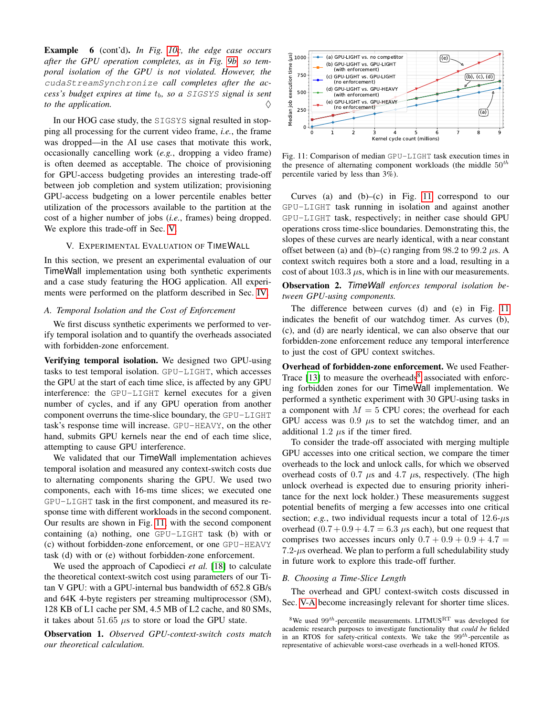Example 6 (cont'd). *In Fig. [10c](#page-6-1), the edge case occurs after the GPU operation completes, as in Fig. [9b,](#page-6-0) so temporal isolation of the GPU is not violated. However, the* cudaStreamSynchronize *call completes after the access's budget expires at time*  $t<sub>b</sub>$ *, so a SIGSYS signal is sent to the application.* 

In our HOG case study, the SIGSYS signal resulted in stopping all processing for the current video frame, *i.e.*, the frame was dropped—in the AI use cases that motivate this work, occasionally cancelling work (*e.g.*, dropping a video frame) is often deemed as acceptable. The choice of provisioning for GPU-access budgeting provides an interesting trade-off between job completion and system utilization; provisioning GPU-access budgeting on a lower percentile enables better utilization of the processors available to the partition at the cost of a higher number of jobs (*i.e.*, frames) being dropped. We explore this trade-off in Sec. [V.](#page-7-0)

## V. EXPERIMENTAL EVALUATION OF TIMEWALL

<span id="page-7-0"></span>In this section, we present an experimental evaluation of our TimeWall implementation using both synthetic experiments and a case study featuring the HOG application. All experiments were performed on the platform described in Sec. [IV.](#page-4-0)

#### <span id="page-7-1"></span>*A. Temporal Isolation and the Cost of Enforcement*

We first discuss synthetic experiments we performed to verify temporal isolation and to quantify the overheads associated with forbidden-zone enforcement.

Verifying temporal isolation. We designed two GPU-using tasks to test temporal isolation. GPU-LIGHT, which accesses the GPU at the start of each time slice, is affected by any GPU interference: the GPU-LIGHT kernel executes for a given number of cycles, and if any GPU operation from another component overruns the time-slice boundary, the GPU-LIGHT task's response time will increase. GPU-HEAVY, on the other hand, submits GPU kernels near the end of each time slice, attempting to cause GPU interference.

We validated that our TimeWall implementation achieves temporal isolation and measured any context-switch costs due to alternating components sharing the GPU. We used two components, each with 16-ms time slices; we executed one GPU-LIGHT task in the first component, and measured its response time with different workloads in the second component. Our results are shown in Fig. [11,](#page-7-2) with the second component containing (a) nothing, one GPU-LIGHT task (b) with or (c) without forbidden-zone enforcement, or one GPU-HEAVY task (d) with or (e) without forbidden-zone enforcement.

We used the approach of Capodieci *et al.* [\[18\]](#page-12-14) to calculate the theoretical context-switch cost using parameters of our Titan V GPU: with a GPU-internal bus bandwidth of 652.8 GB/s and 64K 4-byte registers per streaming multiprocessor (SM), 128 KB of L1 cache per SM, 4.5 MB of L2 cache, and 80 SMs, it takes about  $51.65 \mu s$  to store or load the GPU state.

Observation 1. *Observed GPU-context-switch costs match our theoretical calculation.*

<span id="page-7-2"></span>

Fig. 11: Comparison of median GPU-LIGHT task execution times in the presence of alternating component workloads (the middle  $50<sup>th</sup>$ percentile varied by less than 3%).

Curves (a) and  $(b)$ – $(c)$  in Fig. [11](#page-7-2) correspond to our GPU-LIGHT task running in isolation and against another GPU-LIGHT task, respectively; in neither case should GPU operations cross time-slice boundaries. Demonstrating this, the slopes of these curves are nearly identical, with a near constant offset between (a) and (b)–(c) ranging from  $98.2$  to  $99.2 \mu s$ . A context switch requires both a store and a load, resulting in a cost of about  $103.3 \mu s$ , which is in line with our measurements.

Observation 2. *TimeWall enforces temporal isolation between GPU-using components.*

The difference between curves (d) and (e) in Fig. [11](#page-7-2) indicates the benefit of our watchdog timer. As curves (b), (c), and (d) are nearly identical, we can also observe that our forbidden-zone enforcement reduce any temporal interference to just the cost of GPU context switches.

Overhead of forbidden-zone enforcement. We used Feather-Trace  $[13]$  to measure the overheads<sup>[8](#page-7-3)</sup> associated with enforcing forbidden zones for our TimeWall implementation. We performed a synthetic experiment with 30 GPU-using tasks in a component with  $M = 5$  CPU cores; the overhead for each GPU access was  $0.9 \mu s$  to set the watchdog timer, and an additional 1.2  $\mu$ s if the timer fired.

To consider the trade-off associated with merging multiple GPU accesses into one critical section, we compare the timer overheads to the lock and unlock calls, for which we observed overhead costs of 0.7  $\mu$ s and 4.7  $\mu$ s, respectively. (The high unlock overhead is expected due to ensuring priority inheritance for the next lock holder.) These measurements suggest potential benefits of merging a few accesses into one critical section; *e.g.*, two individual requests incur a total of  $12.6-\mu s$ overhead  $(0.7 + 0.9 + 4.7 = 6.3 \mu s$  each), but one request that comprises two accesses incurs only  $0.7 + 0.9 + 0.9 + 4.7 =$  $7.2-\mu s$  overhead. We plan to perform a full schedulability study in future work to explore this trade-off further.

## *B. Choosing a Time-Slice Length*

The overhead and GPU context-switch costs discussed in Sec. [V-A](#page-7-1) become increasingly relevant for shorter time slices.

<span id="page-7-3"></span><sup>&</sup>lt;sup>8</sup>We used 99<sup>th</sup>-percentile measurements. LITMUS<sup>RT</sup> was developed for academic research purposes to investigate functionality that *could be* fielded in an RTOS for safety-critical contexts. We take the  $99<sup>th</sup>$ -percentile as representative of achievable worst-case overheads in a well-honed RTOS.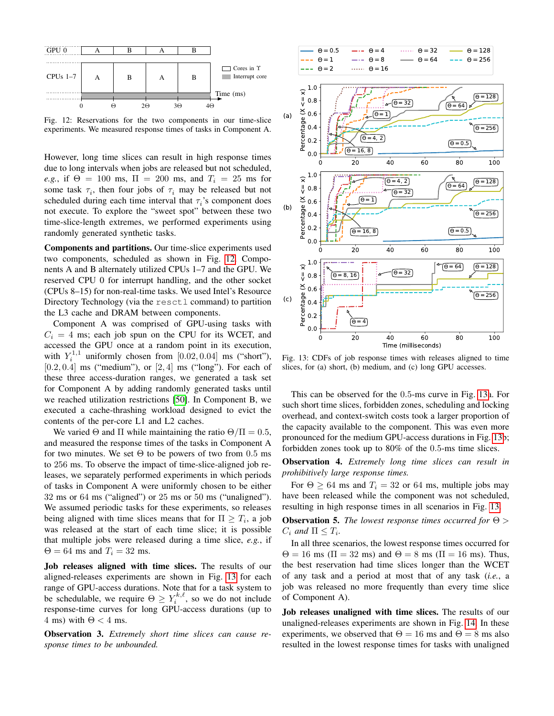<span id="page-8-0"></span>

Fig. 12: Reservations for the two components in our time-slice experiments. We measured response times of tasks in Component A.

However, long time slices can result in high response times due to long intervals when jobs are released but not scheduled, *e.g.*, if  $\Theta = 100$  ms,  $\Pi = 200$  ms, and  $T_i = 25$  ms for some task  $\tau_i$ , then four jobs of  $\tau_i$  may be released but not scheduled during each time interval that  $\tau_i$ 's component does not execute. To explore the "sweet spot" between these two time-slice-length extremes, we performed experiments using randomly generated synthetic tasks.

Components and partitions. Our time-slice experiments used two components, scheduled as shown in Fig. [12.](#page-8-0) Components A and B alternately utilized CPUs 1–7 and the GPU. We reserved CPU 0 for interrupt handling, and the other socket (CPUs 8–15) for non-real-time tasks. We used Intel's Resource Directory Technology (via the resctl command) to partition the L3 cache and DRAM between components.

Component A was comprised of GPU-using tasks with  $C_i = 4$  ms; each job spun on the CPU for its WCET, and accessed the GPU once at a random point in its execution, with  $Y_i^{1,1}$  uniformly chosen from  $[0.02, 0.04]$  ms ("short"),  $[0.2, 0.4]$  ms ("medium"), or  $[2, 4]$  ms ("long"). For each of these three access-duration ranges, we generated a task set for Component A by adding randomly generated tasks until we reached utilization restrictions [\[50\]](#page-13-4). In Component B, we executed a cache-thrashing workload designed to evict the contents of the per-core L1 and L2 caches.

We varied  $\Theta$  and  $\Pi$  while maintaining the ratio  $\Theta/\Pi = 0.5$ , and measured the response times of the tasks in Component A for two minutes. We set  $\Theta$  to be powers of two from 0.5 ms to 256 ms. To observe the impact of time-slice-aligned job releases, we separately performed experiments in which periods of tasks in Component A were uniformly chosen to be either 32 ms or 64 ms ("aligned") or 25 ms or 50 ms ("unaligned"). We assumed periodic tasks for these experiments, so releases being aligned with time slices means that for  $\Pi \geq T_i$ , a job was released at the start of each time slice; it is possible that multiple jobs were released during a time slice, *e.g.*, if  $\Theta = 64$  ms and  $T_i = 32$  ms.

Job releases aligned with time slices. The results of our aligned-releases experiments are shown in Fig. [13](#page-8-1) for each range of GPU-access durations. Note that for a task system to be schedulable, we require  $\Theta \ge Y_i^{k,\ell}$ , so we do not include response-time curves for long GPU-access durations (up to 4 ms) with  $\Theta$  < 4 ms.

Observation 3. *Extremely short time slices can cause response times to be unbounded.*

<span id="page-8-1"></span>

Fig. 13: CDFs of job response times with releases aligned to time slices, for (a) short, (b) medium, and (c) long GPU accesses.

This can be observed for the 0.5-ms curve in Fig. [13a](#page-8-1). For such short time slices, forbidden zones, scheduling and locking overhead, and context-switch costs took a larger proportion of the capacity available to the component. This was even more pronounced for the medium GPU-access durations in Fig. [13b](#page-8-1); forbidden zones took up to 80% of the 0.5-ms time slices.

Observation 4. *Extremely long time slices can result in prohibitively large response times.*

For  $\Theta \ge 64$  ms and  $T_i = 32$  or 64 ms, multiple jobs may have been released while the component was not scheduled, resulting in high response times in all scenarios in Fig. [13.](#page-8-1)

<span id="page-8-2"></span>**Observation 5.** *The lowest response times occurred for*  $\Theta$  >  $C_i$  *and*  $\Pi \leq T_i$ .

In all three scenarios, the lowest response times occurred for  $\Theta = 16$  ms ( $\Pi = 32$  ms) and  $\Theta = 8$  ms ( $\Pi = 16$  ms). Thus, the best reservation had time slices longer than the WCET of any task and a period at most that of any task (*i.e.*, a job was released no more frequently than every time slice of Component A).

Job releases unaligned with time slices. The results of our unaligned-releases experiments are shown in Fig. [14.](#page-9-0) In these experiments, we observed that  $\Theta = 16$  ms and  $\Theta = 8$  ms also resulted in the lowest response times for tasks with unaligned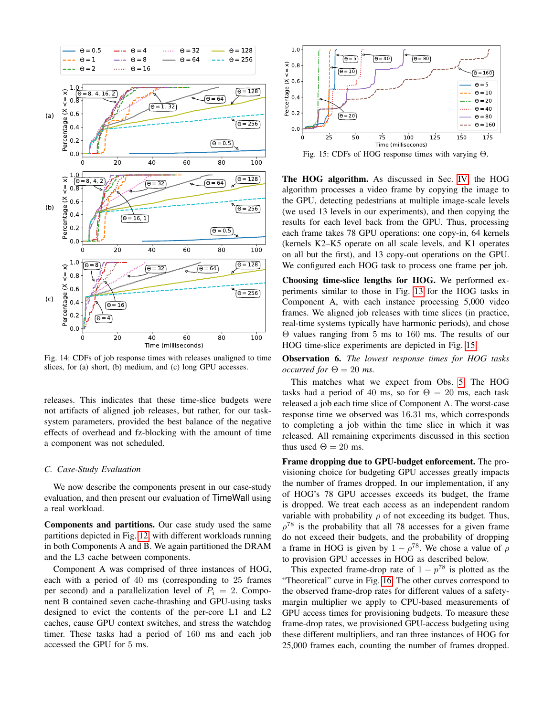<span id="page-9-0"></span>

Fig. 14: CDFs of job response times with releases unaligned to time slices, for (a) short, (b) medium, and (c) long GPU accesses.

releases. This indicates that these time-slice budgets were not artifacts of aligned job releases, but rather, for our tasksystem parameters, provided the best balance of the negative effects of overhead and fz-blocking with the amount of time a component was not scheduled.

#### *C. Case-Study Evaluation*

We now describe the components present in our case-study evaluation, and then present our evaluation of TimeWall using a real workload.

Components and partitions. Our case study used the same partitions depicted in Fig. [12,](#page-8-0) with different workloads running in both Components A and B. We again partitioned the DRAM and the L3 cache between components.

Component A was comprised of three instances of HOG, each with a period of 40 ms (corresponding to 25 frames per second) and a parallelization level of  $P_i = 2$ . Component B contained seven cache-thrashing and GPU-using tasks designed to evict the contents of the per-core L1 and L2 caches, cause GPU context switches, and stress the watchdog timer. These tasks had a period of 160 ms and each job accessed the GPU for 5 ms.

<span id="page-9-1"></span>

Fig. 15: CDFs of HOG response times with varying Θ.

The HOG algorithm. As discussed in Sec. [IV,](#page-4-0) the HOG algorithm processes a video frame by copying the image to the GPU, detecting pedestrians at multiple image-scale levels (we used 13 levels in our experiments), and then copying the results for each level back from the GPU. Thus, processing each frame takes 78 GPU operations: one copy-in, 64 kernels (kernels K2–K5 operate on all scale levels, and K1 operates on all but the first), and 13 copy-out operations on the GPU. We configured each HOG task to process one frame per job.

Choosing time-slice lengths for HOG. We performed experiments similar to those in Fig. [13](#page-8-1) for the HOG tasks in Component A, with each instance processing 5,000 video frames. We aligned job releases with time slices (in practice, real-time systems typically have harmonic periods), and chose Θ values ranging from 5 ms to 160 ms. The results of our HOG time-slice experiments are depicted in Fig. [15.](#page-9-1)

Observation 6. *The lowest response times for HOG tasks occurred for*  $\Theta = 20$  *ms.* 

This matches what we expect from Obs. [5.](#page-8-2) The HOG tasks had a period of 40 ms, so for  $\Theta = 20$  ms, each task released a job each time slice of Component A. The worst-case response time we observed was 16.31 ms, which corresponds to completing a job within the time slice in which it was released. All remaining experiments discussed in this section thus used  $\Theta = 20$  ms.

Frame dropping due to GPU-budget enforcement. The provisioning choice for budgeting GPU accesses greatly impacts the number of frames dropped. In our implementation, if any of HOG's 78 GPU accesses exceeds its budget, the frame is dropped. We treat each access as an independent random variable with probability  $\rho$  of not exceeding its budget. Thus,  $\rho^{78}$  is the probability that all 78 accesses for a given frame do not exceed their budgets, and the probability of dropping a frame in HOG is given by  $1 - \rho^{78}$ . We chose a value of  $\rho$ to provision GPU accesses in HOG as described below.

This expected frame-drop rate of  $1 - p^{78}$  is plotted as the "Theoretical" curve in Fig. [16.](#page-10-0) The other curves correspond to the observed frame-drop rates for different values of a safetymargin multiplier we apply to CPU-based measurements of GPU access times for provisioning budgets. To measure these frame-drop rates, we provisioned GPU-access budgeting using these different multipliers, and ran three instances of HOG for 25,000 frames each, counting the number of frames dropped.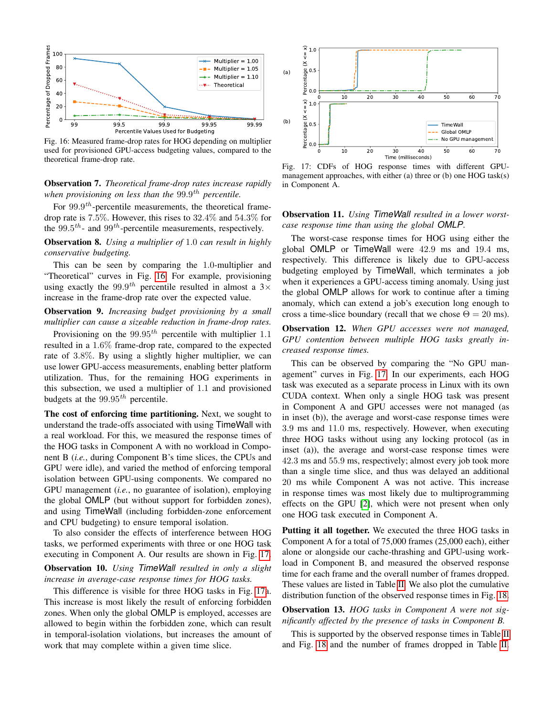<span id="page-10-0"></span>

Fig. 16: Measured frame-drop rates for HOG depending on multiplier used for provisioned GPU-access budgeting values, compared to the theoretical frame-drop rate.

Observation 7. *Theoretical frame-drop rates increase rapidly* when provisioning on less than the  $99.9^{th}$  percentile.

For  $99.9^{th}$ -percentile measurements, the theoretical framedrop rate is 7.5%. However, this rises to 32.4% and 54.3% for the 99.5<sup>th</sup>- and 99<sup>th</sup>-percentile measurements, respectively.

Observation 8. *Using a multiplier of* 1.0 *can result in highly conservative budgeting.*

This can be seen by comparing the 1.0-multiplier and "Theoretical" curves in Fig. [16.](#page-10-0) For example, provisioning using exactly the 99.9<sup>th</sup> percentile resulted in almost a  $3\times$ increase in the frame-drop rate over the expected value.

<span id="page-10-2"></span>Observation 9. *Increasing budget provisioning by a small multiplier can cause a sizeable reduction in frame-drop rates.*

Provisioning on the  $99.95<sup>th</sup>$  percentile with multiplier 1.1 resulted in a 1.6% frame-drop rate, compared to the expected rate of 3.8%. By using a slightly higher multiplier, we can use lower GPU-access measurements, enabling better platform utilization. Thus, for the remaining HOG experiments in this subsection, we used a multiplier of 1.1 and provisioned budgets at the  $99.95<sup>th</sup>$  percentile.

The cost of enforcing time partitioning. Next, we sought to understand the trade-offs associated with using TimeWall with a real workload. For this, we measured the response times of the HOG tasks in Component A with no workload in Component B (*i.e.*, during Component B's time slices, the CPUs and GPU were idle), and varied the method of enforcing temporal isolation between GPU-using components. We compared no GPU management (*i.e.*, no guarantee of isolation), employing the global OMLP (but without support for forbidden zones), and using TimeWall (including forbidden-zone enforcement and CPU budgeting) to ensure temporal isolation.

To also consider the effects of interference between HOG tasks, we performed experiments with three or one HOG task executing in Component A. Our results are shown in Fig. [17.](#page-10-1) Observation 10. *Using TimeWall resulted in only a slight increase in average-case response times for HOG tasks.*

This difference is visible for three HOG tasks in Fig. [17a](#page-10-1). This increase is most likely the result of enforcing forbidden zones. When only the global OMLP is employed, accesses are allowed to begin within the forbidden zone, which can result in temporal-isolation violations, but increases the amount of work that may complete within a given time slice.

<span id="page-10-1"></span>

Fig. 17: CDFs of HOG response times with different GPUmanagement approaches, with either (a) three or (b) one HOG task(s) in Component A.

# Observation 11. *Using TimeWall resulted in a lower worstcase response time than using the global OMLP.*

The worst-case response times for HOG using either the global OMLP or TimeWall were 42.9 ms and 19.4 ms, respectively. This difference is likely due to GPU-access budgeting employed by TimeWall, which terminates a job when it experiences a GPU-access timing anomaly. Using just the global OMLP allows for work to continue after a timing anomaly, which can extend a job's execution long enough to cross a time-slice boundary (recall that we chose  $\Theta = 20$  ms).

Observation 12. *When GPU accesses were not managed, GPU contention between multiple HOG tasks greatly increased response times.*

This can be observed by comparing the "No GPU management" curves in Fig. [17.](#page-10-1) In our experiments, each HOG task was executed as a separate process in Linux with its own CUDA context. When only a single HOG task was present in Component A and GPU accesses were not managed (as in inset (b)), the average and worst-case response times were 3.9 ms and 11.0 ms, respectively. However, when executing three HOG tasks without using any locking protocol (as in inset (a)), the average and worst-case response times were 42.3 ms and 55.9 ms, respectively; almost every job took more than a single time slice, and thus was delayed an additional 20 ms while Component A was not active. This increase in response times was most likely due to multiprogramming effects on the GPU [\[2\]](#page-11-6), which were not present when only one HOG task executed in Component A.

Putting it all together. We executed the three HOG tasks in Component A for a total of 75,000 frames (25,000 each), either alone or alongside our cache-thrashing and GPU-using workload in Component B, and measured the observed response time for each frame and the overall number of frames dropped. These values are listed in Table [II.](#page-11-7) We also plot the cumulative distribution function of the observed response times in Fig. [18.](#page-11-8)

Observation 13. *HOG tasks in Component A were not significantly affected by the presence of tasks in Component B.*

This is supported by the observed response times in Table [II](#page-11-7) and Fig. [18](#page-11-8) and the number of frames dropped in Table [II.](#page-11-7)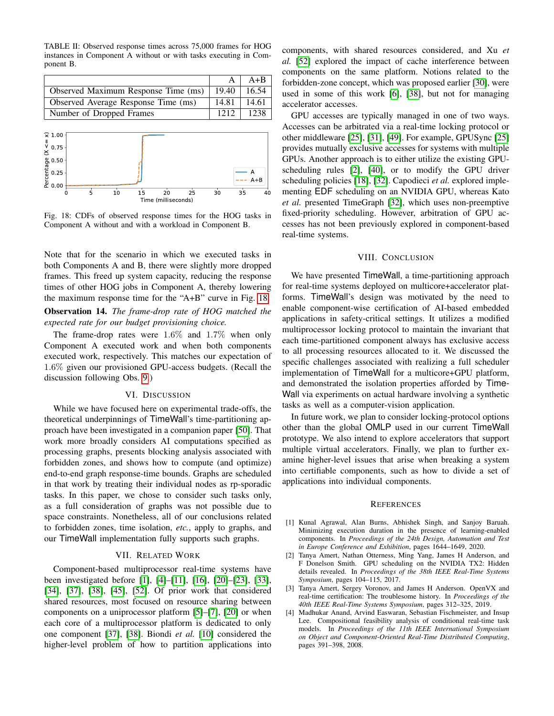<span id="page-11-7"></span>TABLE II: Observed response times across 75,000 frames for HOG instances in Component A without or with tasks executing in Component B.

|                                     |       | $A+B$             |
|-------------------------------------|-------|-------------------|
| Observed Maximum Response Time (ms) |       | $19.40 \pm 16.54$ |
| Observed Average Response Time (ms) | 14.81 | 14.61             |
| Number of Dropped Frames            | 1212  | 1238              |

<span id="page-11-8"></span>

Fig. 18: CDFs of observed response times for the HOG tasks in Component A without and with a workload in Component B.

Note that for the scenario in which we executed tasks in both Components A and B, there were slightly more dropped frames. This freed up system capacity, reducing the response times of other HOG jobs in Component A, thereby lowering the maximum response time for the "A+B" curve in Fig. [18.](#page-11-8)

Observation 14. *The frame-drop rate of HOG matched the expected rate for our budget provisioning choice.*

The frame-drop rates were 1.6% and 1.7% when only Component A executed work and when both components executed work, respectively. This matches our expectation of 1.6% given our provisioned GPU-access budgets. (Recall the discussion following Obs. [9.](#page-10-2))

## VI. DISCUSSION

<span id="page-11-2"></span>While we have focused here on experimental trade-offs, the theoretical underpinnings of TimeWall's time-partitioning approach have been investigated in a companion paper [\[50\]](#page-13-4). That work more broadly considers AI computations specified as processing graphs, presents blocking analysis associated with forbidden zones, and shows how to compute (and optimize) end-to-end graph response-time bounds. Graphs are scheduled in that work by treating their individual nodes as rp-sporadic tasks. In this paper, we chose to consider such tasks only, as a full consideration of graphs was not possible due to space constraints. Nonetheless, all of our conclusions related to forbidden zones, time isolation, *etc.*, apply to graphs, and our TimeWall implementation fully supports such graphs.

#### VII. RELATED WORK

<span id="page-11-3"></span>Component-based multiprocessor real-time systems have been investigated before [\[1\]](#page-11-0), [\[4\]](#page-11-1)–[\[11\]](#page-12-1), [\[16\]](#page-12-2), [\[20\]](#page-12-3)–[\[23\]](#page-12-4), [\[33\]](#page-12-5), [\[34\]](#page-12-6), [\[37\]](#page-12-7), [\[38\]](#page-12-8), [\[45\]](#page-12-9), [\[52\]](#page-13-0). Of prior work that considered shared resources, most focused on resource sharing between components on a uniprocessor platform [\[5\]](#page-12-10)–[\[7\]](#page-12-11), [\[20\]](#page-12-3) or when each core of a multiprocessor platform is dedicated to only one component [\[37\]](#page-12-7), [\[38\]](#page-12-8). Biondi *et al.* [\[10\]](#page-12-36) considered the higher-level problem of how to partition applications into components, with shared resources considered, and Xu *et al.* [\[52\]](#page-13-0) explored the impact of cache interference between components on the same platform. Notions related to the forbidden-zone concept, which was proposed earlier [\[30\]](#page-12-25), were used in some of this work [\[6\]](#page-12-26), [\[38\]](#page-12-8), but not for managing accelerator accesses.

GPU accesses are typically managed in one of two ways. Accesses can be arbitrated via a real-time locking protocol or other middleware [\[25\]](#page-12-12), [\[31\]](#page-12-13), [\[49\]](#page-13-1). For example, GPUSync [\[25\]](#page-12-12) provides mutually exclusive accesses for systems with multiple GPUs. Another approach is to either utilize the existing GPUscheduling rules [\[2\]](#page-11-6), [\[40\]](#page-12-37), or to modify the GPU driver scheduling policies [\[18\]](#page-12-14), [\[32\]](#page-12-15). Capodieci *et al.* explored implementing EDF scheduling on an NVIDIA GPU, whereas Kato *et al.* presented TimeGraph [\[32\]](#page-12-15), which uses non-preemptive fixed-priority scheduling. However, arbitration of GPU accesses has not been previously explored in component-based real-time systems.

#### VIII. CONCLUSION

<span id="page-11-4"></span>We have presented TimeWall, a time-partitioning approach for real-time systems deployed on multicore+accelerator platforms. TimeWall's design was motivated by the need to enable component-wise certification of AI-based embedded applications in safety-critical settings. It utilizes a modified multiprocessor locking protocol to maintain the invariant that each time-partitioned component always has exclusive access to all processing resources allocated to it. We discussed the specific challenges associated with realizing a full scheduler implementation of TimeWall for a multicore+GPU platform, and demonstrated the isolation properties afforded by Time-Wall via experiments on actual hardware involving a synthetic tasks as well as a computer-vision application.

In future work, we plan to consider locking-protocol options other than the global OMLP used in our current TimeWall prototype. We also intend to explore accelerators that support multiple virtual accelerators. Finally, we plan to further examine higher-level issues that arise when breaking a system into certifiable components, such as how to divide a set of applications into individual components.

#### **REFERENCES**

- <span id="page-11-0"></span>[1] Kunal Agrawal, Alan Burns, Abhishek Singh, and Sanjoy Baruah. Minimizing execution duration in the presence of learning-enabled components. In *Proceedings of the 24th Design, Automation and Test in Europe Conference and Exhibition*, pages 1644–1649, 2020.
- <span id="page-11-6"></span>[2] Tanya Amert, Nathan Otterness, Ming Yang, James H Anderson, and F Donelson Smith. GPU scheduling on the NVIDIA TX2: Hidden details revealed. In *Proceedings of the 38th IEEE Real-Time Systems Symposium*, pages 104–115, 2017.
- <span id="page-11-5"></span>[3] Tanya Amert, Sergey Voronov, and James H Anderson. OpenVX and real-time certification: The troublesome history. In *Proceedings of the 40th IEEE Real-Time Systems Symposium*, pages 312–325, 2019.
- <span id="page-11-1"></span>[4] Madhukar Anand, Arvind Easwaran, Sebastian Fischmeister, and Insup Lee. Compositional feasibility analysis of conditional real-time task models. In *Proceedings of the 11th IEEE International Symposium on Object and Component-Oriented Real-Time Distributed Computing*, pages 391–398, 2008.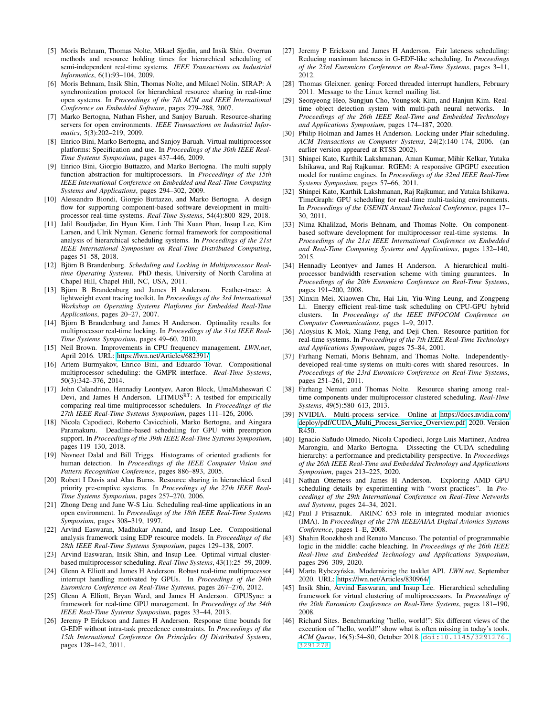- <span id="page-12-10"></span>[5] Moris Behnam, Thomas Nolte, Mikael Sjodin, and Insik Shin. Overrun methods and resource holding times for hierarchical scheduling of semi-independent real-time systems. *IEEE Transactions on Industrial Informatics*, 6(1):93–104, 2009.
- <span id="page-12-26"></span>[6] Moris Behnam, Insik Shin, Thomas Nolte, and Mikael Nolin. SIRAP: A synchronization protocol for hierarchical resource sharing in real-time open systems. In *Proceedings of the 7th ACM and IEEE International Conference on Embedded Software*, pages 279–288, 2007.
- <span id="page-12-11"></span>[7] Marko Bertogna, Nathan Fisher, and Sanjoy Baruah. Resource-sharing servers for open environments. *IEEE Transactions on Industrial Informatics*, 5(3):202–219, 2009.
- [8] Enrico Bini, Marko Bertogna, and Sanjoy Baruah. Virtual multiprocessor platforms: Specification and use. In *Proceedings of the 30th IEEE Real-Time Systems Symposium*, pages 437–446, 2009.
- [9] Enrico Bini, Giorgio Buttazzo, and Marko Bertogna. The multi supply function abstraction for multiprocessors. In *Proceedings of the 15th IEEE International Conference on Embedded and Real-Time Computing Systems and Applications*, pages 294–302, 2009.
- <span id="page-12-36"></span>[10] Alessandro Biondi, Giorgio Buttazzo, and Marko Bertogna. A design flow for supporting component-based software development in multiprocessor real-time systems. *Real-Time Systems*, 54(4):800–829, 2018.
- <span id="page-12-1"></span>[11] Jalil Boudjadar, Jin Hyun Kim, Linh Thi Xuan Phan, Insup Lee, Kim Larsen, and Ulrik Nyman. Generic formal framework for compositional analysis of hierarchical scheduling systems. In *Proceedings of the 21st IEEE International Symposium on Real-Time Distributed Computing*, pages 51–58, 2018.
- <span id="page-12-16"></span>[12] Björn B Brandenburg. Scheduling and Locking in Multiprocessor Real*time Operating Systems*. PhD thesis, University of North Carolina at Chapel Hill, Chapel Hill, NC, USA, 2011.
- <span id="page-12-35"></span>[13] Björn B Brandenburg and James H Anderson. Feather-trace: A lightweight event tracing toolkit. In *Proceedings of the 3rd International Workshop on Operating Systems Platforms for Embedded Real-Time Applications*, pages 20–27, 2007.
- <span id="page-12-22"></span>[14] Björn B Brandenburg and James H Anderson. Optimality results for multiprocessor real-time locking. In *Proceedings of the 31st IEEE Real-Time Systems Symposium*, pages 49–60, 2010.
- <span id="page-12-34"></span>[15] Neil Brown. Improvements in CPU frequency management. *LWN.net*, April 2016. URL: [https://lwn.net/Articles/682391/.](https://lwn.net/Articles/682391/)
- <span id="page-12-2"></span>[16] Artem Burmyakov, Enrico Bini, and Eduardo Tovar. Compositional multiprocessor scheduling: the GMPR interface. *Real-Time Systems*, 50(3):342–376, 2014.
- <span id="page-12-17"></span>[17] John Calandrino, Hennadiy Leontyev, Aaron Block, UmaMaheswari C Devi, and James H Anderson. LITMUS<sup>RT</sup>: A testbed for empirically comparing real-time multiprocessor schedulers. In *Proceedings of the 27th IEEE Real-Time Systems Symposium*, pages 111–126, 2006.
- <span id="page-12-14"></span>[18] Nicola Capodieci, Roberto Cavicchioli, Marko Bertogna, and Aingara Paramakuru. Deadline-based scheduling for GPU with preemption support. In *Proceedings of the 39th IEEE Real-Time Systems Symposium*, pages 119–130, 2018.
- <span id="page-12-27"></span>[19] Navneet Dalal and Bill Triggs. Histograms of oriented gradients for human detection. In *Proceedings of the IEEE Computer Vision and Pattern Recognition Conference*, pages 886–893, 2005.
- <span id="page-12-3"></span>[20] Robert I Davis and Alan Burns. Resource sharing in hierarchical fixed priority pre-emptive systems. In *Proceedings of the 27th IEEE Real-Time Systems Symposium*, pages 257–270, 2006.
- [21] Zhong Deng and Jane W-S Liu. Scheduling real-time applications in an open environment. In *Proceedings of the 18th IEEE Real-Time Systems Symposium*, pages 308–319, 1997.
- [22] Arvind Easwaran, Madhukar Anand, and Insup Lee. Compositional analysis framework using EDP resource models. In *Proceedings of the 28th IEEE Real-Time Systems Symposium*, pages 129–138, 2007.
- <span id="page-12-4"></span>[23] Arvind Easwaran, Insik Shin, and Insup Lee. Optimal virtual clusterbased multiprocessor scheduling. *Real-Time Systems*, 43(1):25–59, 2009.
- <span id="page-12-30"></span>[24] Glenn A Elliott and James H Anderson. Robust real-time multiprocessor interrupt handling motivated by GPUs. In *Proceedings of the 24th Euromicro Conference on Real-Time Systems*, pages 267–276, 2012.
- <span id="page-12-12"></span>[25] Glenn A Elliott, Bryan Ward, and James H Anderson. GPUSync: a framework for real-time GPU management. In *Proceedings of the 34th IEEE Real-Time Systems Symposium*, pages 33–44, 2013.
- <span id="page-12-21"></span>[26] Jeremy P Erickson and James H Anderson. Response time bounds for G-EDF without intra-task precedence constraints. In *Proceedings of the 15th International Conference On Principles Of Distributed Systems*, pages 128–142, 2011.
- <span id="page-12-24"></span>[27] Jeremy P Erickson and James H Anderson. Fair lateness scheduling: Reducing maximum lateness in G-EDF-like scheduling. In *Proceedings of the 23rd Euromicro Conference on Real-Time Systems*, pages 3–11, 2012.
- <span id="page-12-31"></span>[28] Thomas Gleixner. genirq: Forced threaded interrupt handlers, February 2011. Message to the Linux kernel mailing list.
- <span id="page-12-28"></span>[29] Seonyeong Heo, Sungjun Cho, Youngsok Kim, and Hanjun Kim. Realtime object detection system with multi-path neural networks. In *Proceedings of the 26th IEEE Real-Time and Embedded Technology and Applications Symposium*, pages 174–187, 2020.
- <span id="page-12-25"></span>[30] Philip Holman and James H Anderson. Locking under Pfair scheduling. *ACM Transactions on Computer Systems*, 24(2):140–174, 2006. (an earlier version appeared at RTSS 2002).
- <span id="page-12-13"></span>[31] Shinpei Kato, Karthik Lakshmanan, Aman Kumar, Mihir Kelkar, Yutaka Ishikawa, and Raj Rajkumar. RGEM: A responsive GPGPU execution model for runtime engines. In *Proceedings of the 32nd IEEE Real-Time Systems Symposium*, pages 57–66, 2011.
- <span id="page-12-15"></span>[32] Shinpei Kato, Karthik Lakshmanan, Raj Rajkumar, and Yutaka Ishikawa. TimeGraph: GPU scheduling for real-time multi-tasking environments. In *Proceedings of the USENIX Annual Technical Conference*, pages 17– 30, 2011.
- <span id="page-12-5"></span>[33] Nima Khalilzad, Moris Behnam, and Thomas Nolte. On componentbased software development for multiprocessor real-time systems. In *Proceedings of the 21st IEEE International Conference on Embedded and Real-Time Computing Systems and Applications*, pages 132–140, 2015.
- <span id="page-12-6"></span>[34] Hennadiy Leontyev and James H Anderson. A hierarchical multiprocessor bandwidth reservation scheme with timing guarantees. In *Proceedings of the 20th Euromicro Conference on Real-Time Systems*, pages 191–200, 2008.
- <span id="page-12-29"></span>[35] Xinxin Mei, Xiaowen Chu, Hai Liu, Yiu-Wing Leung, and Zongpeng Li. Energy efficient real-time task scheduling on CPU-GPU hybrid clusters. In *Proceedings of the IEEE INFOCOM Conference on Computer Communications*, pages 1–9, 2017.
- <span id="page-12-23"></span>[36] Aloysius K Mok, Xiang Feng, and Deji Chen. Resource partition for real-time systems. In *Proceedings of the 7th IEEE Real-Time Technology and Applications Symposium*, pages 75–84, 2001.
- <span id="page-12-7"></span>[37] Farhang Nemati, Moris Behnam, and Thomas Nolte. Independentlydeveloped real-time systems on multi-cores with shared resources. In *Proceedings of the 23rd Euromicro Conference on Real-Time Systems*, pages 251–261, 2011.
- <span id="page-12-8"></span>[38] Farhang Nemati and Thomas Nolte. Resource sharing among realtime components under multiprocessor clustered scheduling. *Real-Time Systems*, 49(5):580–613, 2013.
- <span id="page-12-19"></span>[39] NVIDIA. Multi-process service. Online at [https://docs.nvidia.com/](https://docs.nvidia.com/deploy/pdf/CUDA_Multi_Process_Service_Overview.pdf) [deploy/pdf/CUDA](https://docs.nvidia.com/deploy/pdf/CUDA_Multi_Process_Service_Overview.pdf)\_Multi\_Process\_Service\_Overview.pdf, 2020. Version R450.
- <span id="page-12-37"></span>[40] Ignacio Sañudo Olmedo, Nicola Capodieci, Jorge Luis Martinez, Andrea Marongiu, and Marko Bertogna. Dissecting the CUDA scheduling hierarchy: a performance and predictability perspective. In *Proceedings of the 26th IEEE Real-Time and Embedded Technology and Applications Symposium*, pages 213–225, 2020.
- <span id="page-12-20"></span>[41] Nathan Otterness and James H Anderson. Exploring AMD GPU scheduling details by experimenting with "worst practices". In *Proceedings of the 29th International Conference on Real-Time Networks and Systems*, pages 24–34, 2021.
- <span id="page-12-0"></span>[42] Paul J Prisaznuk. ARINC 653 role in integrated modular avionics (IMA). In *Proceedings of the 27th IEEE/AIAA Digital Avionics Systems Conference*, pages 1–E, 2008.
- <span id="page-12-18"></span>[43] Shahin Roozkhosh and Renato Mancuso. The potential of programmable logic in the middle: cache bleaching. In *Proceedings of the 26th IEEE Real-Time and Embedded Technology and Applications Symposium*, pages 296–309, 2020.
- <span id="page-12-32"></span>[44] Marta Rybczyńska. Modernizing the tasklet API. *LWN.net*, September 2020. URL: [https://lwn.net/Articles/830964/.](https://lwn.net/Articles/830964/)
- <span id="page-12-9"></span>[45] Insik Shin, Arvind Easwaran, and Insup Lee. Hierarchical scheduling framework for virtual clustering of multiprocessors. In *Proceedings of the 20th Euromicro Conference on Real-Time Systems*, pages 181–190, 2008.
- <span id="page-12-33"></span>[46] Richard Sites. Benchmarking "hello, world!": Six different views of the execution of "hello, world!" show what is often missing in today's tools. *ACM Queue*, 16(5):54–80, October 2018. [doi:10.1145/3291276.](https://doi.org/10.1145/3291276.3291278) [3291278](https://doi.org/10.1145/3291276.3291278).